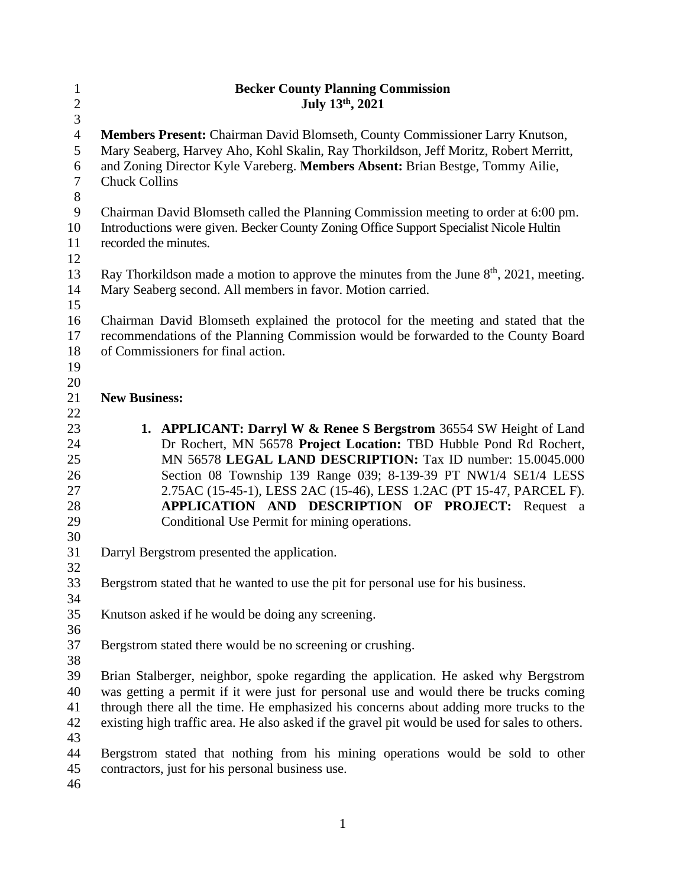| $\mathbf{1}$   | <b>Becker County Planning Commission</b>                                                       |
|----------------|------------------------------------------------------------------------------------------------|
| $\sqrt{2}$     | July 13th, 2021                                                                                |
| 3              |                                                                                                |
| $\overline{4}$ | Members Present: Chairman David Blomseth, County Commissioner Larry Knutson,                   |
| 5              | Mary Seaberg, Harvey Aho, Kohl Skalin, Ray Thorkildson, Jeff Moritz, Robert Merritt,           |
| 6              | and Zoning Director Kyle Vareberg. Members Absent: Brian Bestge, Tommy Ailie,                  |
| $\overline{7}$ | <b>Chuck Collins</b>                                                                           |
| $8\,$          |                                                                                                |
| $\mathbf{9}$   | Chairman David Blomseth called the Planning Commission meeting to order at 6:00 pm.            |
| 10             | Introductions were given. Becker County Zoning Office Support Specialist Nicole Hultin         |
| 11             | recorded the minutes.                                                                          |
| 12             |                                                                                                |
| 13             | Ray Thorkildson made a motion to approve the minutes from the June $8th$ , 2021, meeting.      |
| 14             | Mary Seaberg second. All members in favor. Motion carried.                                     |
| 15             |                                                                                                |
|                |                                                                                                |
| 16             | Chairman David Blomseth explained the protocol for the meeting and stated that the             |
| 17             | recommendations of the Planning Commission would be forwarded to the County Board              |
| 18             | of Commissioners for final action.                                                             |
| 19             |                                                                                                |
| 20             |                                                                                                |
| 21             | <b>New Business:</b>                                                                           |
| 22             |                                                                                                |
| 23             | 1. APPLICANT: Darryl W & Renee S Bergstrom 36554 SW Height of Land                             |
| 24             | Dr Rochert, MN 56578 Project Location: TBD Hubble Pond Rd Rochert,                             |
| 25             | MN 56578 LEGAL LAND DESCRIPTION: Tax ID number: 15.0045.000                                    |
| 26             | Section 08 Township 139 Range 039; 8-139-39 PT NW1/4 SE1/4 LESS                                |
| 27             | 2.75AC (15-45-1), LESS 2AC (15-46), LESS 1.2AC (PT 15-47, PARCEL F).                           |
| 28             | APPLICATION AND DESCRIPTION OF PROJECT: Request a                                              |
| 29             | Conditional Use Permit for mining operations.                                                  |
| 30             |                                                                                                |
| 31             | Darryl Bergstrom presented the application.                                                    |
| 32             |                                                                                                |
| 33             | Bergstrom stated that he wanted to use the pit for personal use for his business.              |
| 34             |                                                                                                |
| 35             | Knutson asked if he would be doing any screening.                                              |
| 36             |                                                                                                |
| 37             | Bergstrom stated there would be no screening or crushing.                                      |
| 38             |                                                                                                |
| 39             | Brian Stalberger, neighbor, spoke regarding the application. He asked why Bergstrom            |
| 40             | was getting a permit if it were just for personal use and would there be trucks coming         |
| 41             | through there all the time. He emphasized his concerns about adding more trucks to the         |
| 42             | existing high traffic area. He also asked if the gravel pit would be used for sales to others. |
| 43             |                                                                                                |
| 44             | Bergstrom stated that nothing from his mining operations would be sold to other                |
| 45             | contractors, just for his personal business use.                                               |
| 46             |                                                                                                |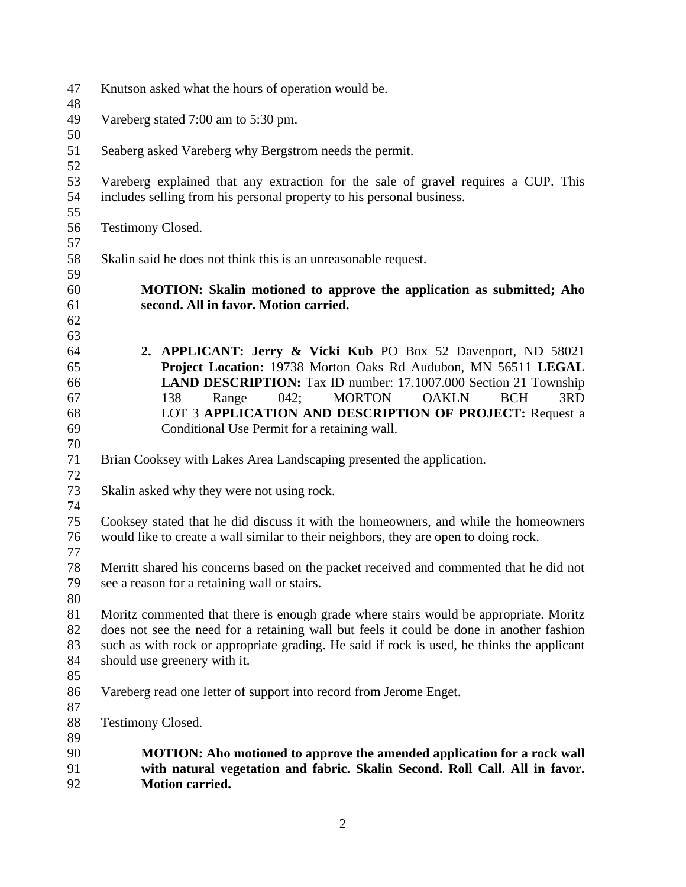| 47       | Knutson asked what the hours of operation would be.                                        |  |  |  |  |  |
|----------|--------------------------------------------------------------------------------------------|--|--|--|--|--|
| 48       |                                                                                            |  |  |  |  |  |
| 49       | Vareberg stated 7:00 am to 5:30 pm.                                                        |  |  |  |  |  |
| 50       |                                                                                            |  |  |  |  |  |
| 51       | Seaberg asked Vareberg why Bergstrom needs the permit.                                     |  |  |  |  |  |
| 52       |                                                                                            |  |  |  |  |  |
| 53       | Vareberg explained that any extraction for the sale of gravel requires a CUP. This         |  |  |  |  |  |
| 54       | includes selling from his personal property to his personal business.                      |  |  |  |  |  |
| 55       |                                                                                            |  |  |  |  |  |
| 56       | Testimony Closed.                                                                          |  |  |  |  |  |
| 57       |                                                                                            |  |  |  |  |  |
| 58       | Skalin said he does not think this is an unreasonable request.                             |  |  |  |  |  |
| 59       |                                                                                            |  |  |  |  |  |
| 60       | MOTION: Skalin motioned to approve the application as submitted; Aho                       |  |  |  |  |  |
| 61       | second. All in favor. Motion carried.                                                      |  |  |  |  |  |
| 62       |                                                                                            |  |  |  |  |  |
| 63       |                                                                                            |  |  |  |  |  |
| 64       | 2. APPLICANT: Jerry & Vicki Kub PO Box 52 Davenport, ND 58021                              |  |  |  |  |  |
| 65       | Project Location: 19738 Morton Oaks Rd Audubon, MN 56511 LEGAL                             |  |  |  |  |  |
| 66       | LAND DESCRIPTION: Tax ID number: 17.1007.000 Section 21 Township                           |  |  |  |  |  |
| 67       | 138<br>042; MORTON<br>Range<br><b>OAKLN</b><br><b>BCH</b><br>3RD                           |  |  |  |  |  |
| 68       | LOT 3 APPLICATION AND DESCRIPTION OF PROJECT: Request a                                    |  |  |  |  |  |
| 69       | Conditional Use Permit for a retaining wall.                                               |  |  |  |  |  |
| 70       |                                                                                            |  |  |  |  |  |
| 71       | Brian Cooksey with Lakes Area Landscaping presented the application.                       |  |  |  |  |  |
| 72       |                                                                                            |  |  |  |  |  |
| 73       | Skalin asked why they were not using rock.                                                 |  |  |  |  |  |
| 74       |                                                                                            |  |  |  |  |  |
| 75       | Cooksey stated that he did discuss it with the homeowners, and while the homeowners        |  |  |  |  |  |
| 76       | would like to create a wall similar to their neighbors, they are open to doing rock.       |  |  |  |  |  |
| 77       |                                                                                            |  |  |  |  |  |
| 78       | Merritt shared his concerns based on the packet received and commented that he did not     |  |  |  |  |  |
| 79       | see a reason for a retaining wall or stairs.                                               |  |  |  |  |  |
| 80       |                                                                                            |  |  |  |  |  |
| 81       | Moritz commented that there is enough grade where stairs would be appropriate. Moritz      |  |  |  |  |  |
| 82       | does not see the need for a retaining wall but feels it could be done in another fashion   |  |  |  |  |  |
| 83       | such as with rock or appropriate grading. He said if rock is used, he thinks the applicant |  |  |  |  |  |
| 84<br>85 | should use greenery with it.                                                               |  |  |  |  |  |
| 86       | Vareberg read one letter of support into record from Jerome Enget.                         |  |  |  |  |  |
| 87       |                                                                                            |  |  |  |  |  |
| 88       | <b>Testimony Closed.</b>                                                                   |  |  |  |  |  |
| 89       |                                                                                            |  |  |  |  |  |
| 90       | <b>MOTION:</b> Aho motioned to approve the amended application for a rock wall             |  |  |  |  |  |
| 91       | with natural vegetation and fabric. Skalin Second. Roll Call. All in favor.                |  |  |  |  |  |
| 92       | <b>Motion carried.</b>                                                                     |  |  |  |  |  |
|          |                                                                                            |  |  |  |  |  |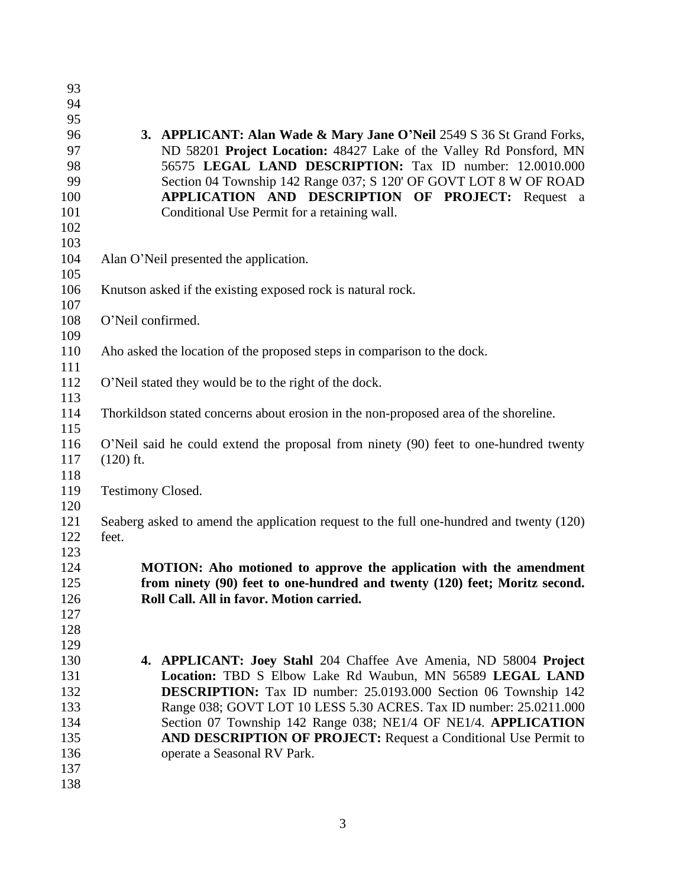| 93  |                                                                                         |  |  |  |  |  |
|-----|-----------------------------------------------------------------------------------------|--|--|--|--|--|
| 94  |                                                                                         |  |  |  |  |  |
| 95  |                                                                                         |  |  |  |  |  |
| 96  | 3. APPLICANT: Alan Wade & Mary Jane O'Neil 2549 S 36 St Grand Forks,                    |  |  |  |  |  |
| 97  | ND 58201 Project Location: 48427 Lake of the Valley Rd Ponsford, MN                     |  |  |  |  |  |
| 98  | 56575 LEGAL LAND DESCRIPTION: Tax ID number: 12.0010.000                                |  |  |  |  |  |
| 99  | Section 04 Township 142 Range 037; S 120' OF GOVT LOT 8 W OF ROAD                       |  |  |  |  |  |
| 100 | APPLICATION AND DESCRIPTION OF PROJECT: Request a                                       |  |  |  |  |  |
| 101 | Conditional Use Permit for a retaining wall.                                            |  |  |  |  |  |
| 102 |                                                                                         |  |  |  |  |  |
| 103 |                                                                                         |  |  |  |  |  |
| 104 | Alan O'Neil presented the application.                                                  |  |  |  |  |  |
| 105 |                                                                                         |  |  |  |  |  |
| 106 | Knutson asked if the existing exposed rock is natural rock.                             |  |  |  |  |  |
| 107 |                                                                                         |  |  |  |  |  |
| 108 | O'Neil confirmed.                                                                       |  |  |  |  |  |
| 109 |                                                                                         |  |  |  |  |  |
| 110 | Aho asked the location of the proposed steps in comparison to the dock.                 |  |  |  |  |  |
| 111 |                                                                                         |  |  |  |  |  |
| 112 | O'Neil stated they would be to the right of the dock.                                   |  |  |  |  |  |
| 113 |                                                                                         |  |  |  |  |  |
| 114 | Thorkildson stated concerns about erosion in the non-proposed area of the shoreline.    |  |  |  |  |  |
| 115 |                                                                                         |  |  |  |  |  |
| 116 | O'Neil said he could extend the proposal from ninety (90) feet to one-hundred twenty    |  |  |  |  |  |
| 117 | $(120)$ ft.                                                                             |  |  |  |  |  |
| 118 |                                                                                         |  |  |  |  |  |
| 119 | <b>Testimony Closed.</b>                                                                |  |  |  |  |  |
| 120 |                                                                                         |  |  |  |  |  |
| 121 | Seaberg asked to amend the application request to the full one-hundred and twenty (120) |  |  |  |  |  |
| 122 | feet.                                                                                   |  |  |  |  |  |
| 123 |                                                                                         |  |  |  |  |  |
| 124 | MOTION: Aho motioned to approve the application with the amendment                      |  |  |  |  |  |
| 125 | from ninety (90) feet to one-hundred and twenty (120) feet; Moritz second.              |  |  |  |  |  |
| 126 | Roll Call. All in favor. Motion carried.                                                |  |  |  |  |  |
| 127 |                                                                                         |  |  |  |  |  |
| 128 |                                                                                         |  |  |  |  |  |
| 129 |                                                                                         |  |  |  |  |  |
| 130 | 4. APPLICANT: Joey Stahl 204 Chaffee Ave Amenia, ND 58004 Project                       |  |  |  |  |  |
| 131 | Location: TBD S Elbow Lake Rd Waubun, MN 56589 LEGAL LAND                               |  |  |  |  |  |
| 132 | <b>DESCRIPTION:</b> Tax ID number: 25.0193.000 Section 06 Township 142                  |  |  |  |  |  |
| 133 | Range 038; GOVT LOT 10 LESS 5.30 ACRES. Tax ID number: 25.0211.000                      |  |  |  |  |  |
| 134 | Section 07 Township 142 Range 038; NE1/4 OF NE1/4. APPLICATION                          |  |  |  |  |  |
| 135 | AND DESCRIPTION OF PROJECT: Request a Conditional Use Permit to                         |  |  |  |  |  |
| 136 | operate a Seasonal RV Park.                                                             |  |  |  |  |  |
| 137 |                                                                                         |  |  |  |  |  |
| 138 |                                                                                         |  |  |  |  |  |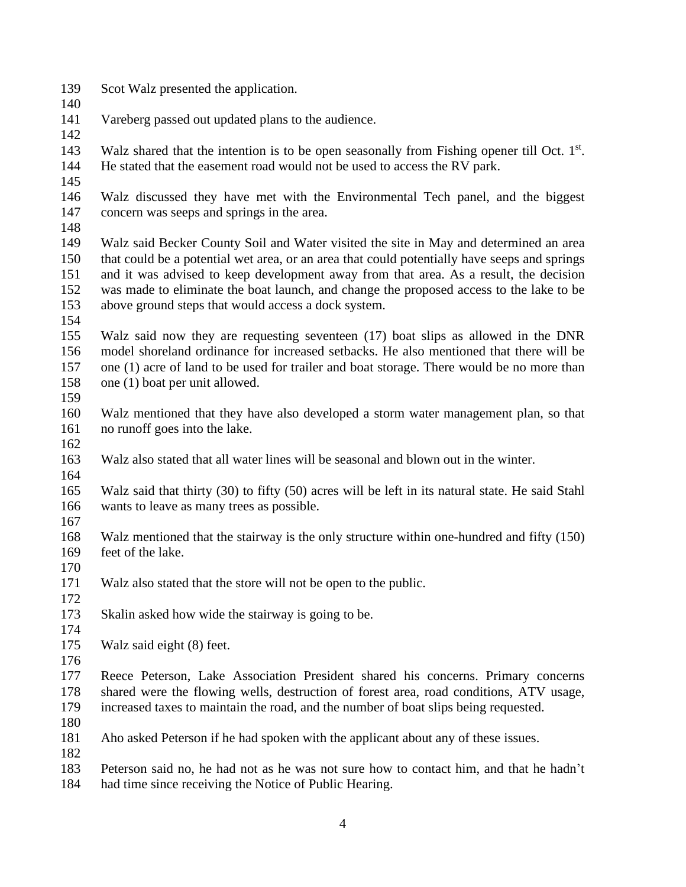- Scot Walz presented the application.
- Vareberg passed out updated plans to the audience.
- 

143 Walz shared that the intention is to be open seasonally from Fishing opener till Oct. 1<sup>st</sup>. He stated that the easement road would not be used to access the RV park.

 Walz discussed they have met with the Environmental Tech panel, and the biggest concern was seeps and springs in the area.

 Walz said Becker County Soil and Water visited the site in May and determined an area that could be a potential wet area, or an area that could potentially have seeps and springs and it was advised to keep development away from that area. As a result, the decision was made to eliminate the boat launch, and change the proposed access to the lake to be above ground steps that would access a dock system.

 Walz said now they are requesting seventeen (17) boat slips as allowed in the DNR model shoreland ordinance for increased setbacks. He also mentioned that there will be one (1) acre of land to be used for trailer and boat storage. There would be no more than one (1) boat per unit allowed.

 Walz mentioned that they have also developed a storm water management plan, so that no runoff goes into the lake.

 Walz also stated that all water lines will be seasonal and blown out in the winter. 

 Walz said that thirty (30) to fifty (50) acres will be left in its natural state. He said Stahl wants to leave as many trees as possible.

 Walz mentioned that the stairway is the only structure within one-hundred and fifty (150) feet of the lake.

 Walz also stated that the store will not be open to the public. 

- Skalin asked how wide the stairway is going to be.
- 

Walz said eight (8) feet.

 Reece Peterson, Lake Association President shared his concerns. Primary concerns shared were the flowing wells, destruction of forest area, road conditions, ATV usage, increased taxes to maintain the road, and the number of boat slips being requested.

Aho asked Peterson if he had spoken with the applicant about any of these issues.

Peterson said no, he had not as he was not sure how to contact him, and that he hadn't

had time since receiving the Notice of Public Hearing.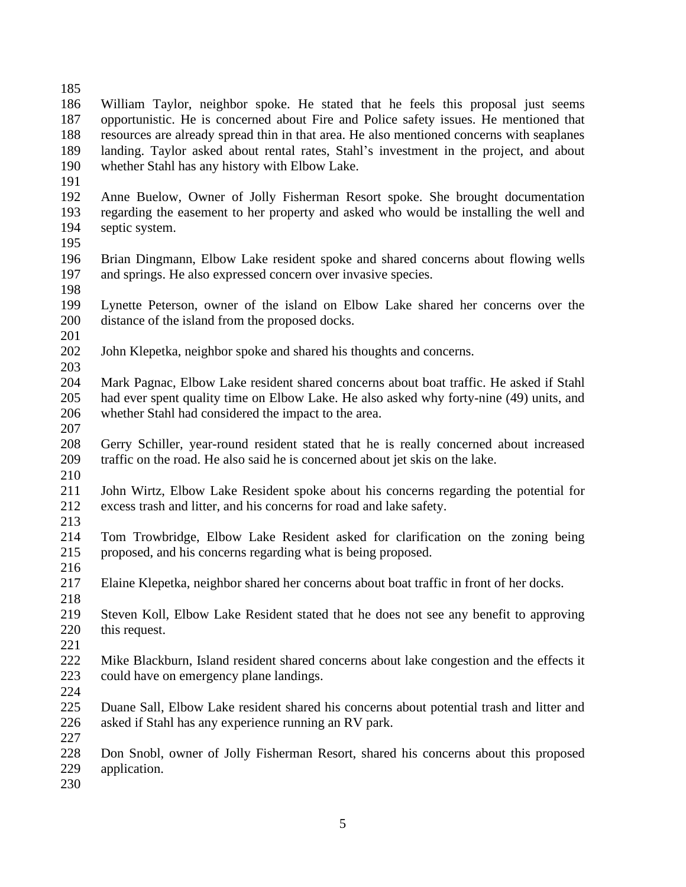- William Taylor, neighbor spoke. He stated that he feels this proposal just seems opportunistic. He is concerned about Fire and Police safety issues. He mentioned that resources are already spread thin in that area. He also mentioned concerns with seaplanes landing. Taylor asked about rental rates, Stahl's investment in the project, and about whether Stahl has any history with Elbow Lake.
- 
- Anne Buelow, Owner of Jolly Fisherman Resort spoke. She brought documentation regarding the easement to her property and asked who would be installing the well and septic system.
- 
- Brian Dingmann, Elbow Lake resident spoke and shared concerns about flowing wells and springs. He also expressed concern over invasive species.
- Lynette Peterson, owner of the island on Elbow Lake shared her concerns over the distance of the island from the proposed docks.
- 
- John Klepetka, neighbor spoke and shared his thoughts and concerns.
- 
- Mark Pagnac, Elbow Lake resident shared concerns about boat traffic. He asked if Stahl had ever spent quality time on Elbow Lake. He also asked why forty-nine (49) units, and whether Stahl had considered the impact to the area.
- 
- Gerry Schiller, year-round resident stated that he is really concerned about increased traffic on the road. He also said he is concerned about jet skis on the lake.
- John Wirtz, Elbow Lake Resident spoke about his concerns regarding the potential for excess trash and litter, and his concerns for road and lake safety.
- 
- Tom Trowbridge, Elbow Lake Resident asked for clarification on the zoning being proposed, and his concerns regarding what is being proposed.
- Elaine Klepetka, neighbor shared her concerns about boat traffic in front of her docks.
- Steven Koll, Elbow Lake Resident stated that he does not see any benefit to approving this request.
- 
- Mike Blackburn, Island resident shared concerns about lake congestion and the effects it could have on emergency plane landings.
- 
- Duane Sall, Elbow Lake resident shared his concerns about potential trash and litter and asked if Stahl has any experience running an RV park.
- Don Snobl, owner of Jolly Fisherman Resort, shared his concerns about this proposed application.
-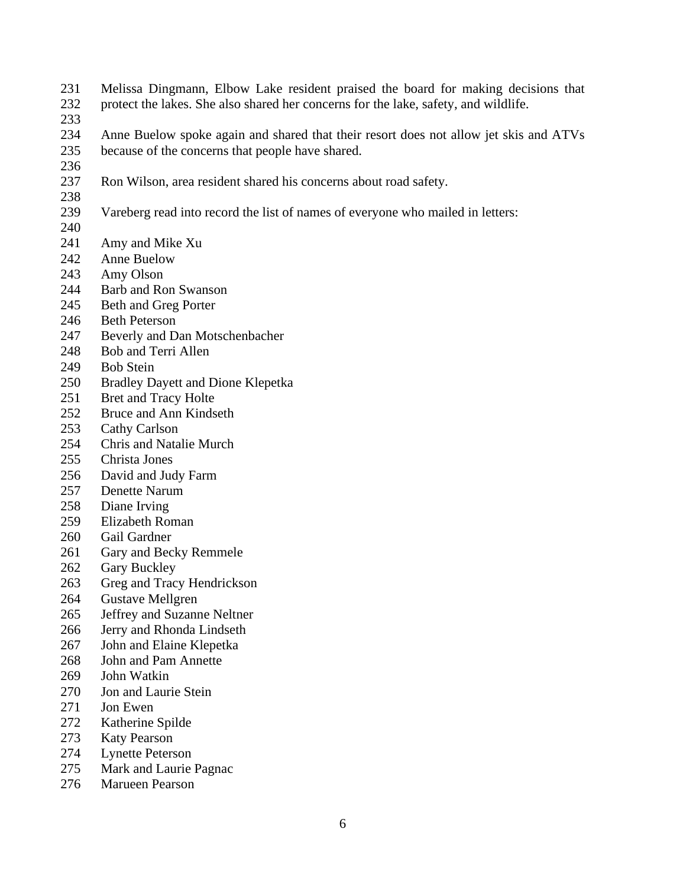- Melissa Dingmann, Elbow Lake resident praised the board for making decisions that
- protect the lakes. She also shared her concerns for the lake, safety, and wildlife.
- 
- Anne Buelow spoke again and shared that their resort does not allow jet skis and ATVs because of the concerns that people have shared.
- 
- Ron Wilson, area resident shared his concerns about road safety.
- Vareberg read into record the list of names of everyone who mailed in letters:
- 
- Amy and Mike Xu
- Anne Buelow
- Amy Olson
- Barb and Ron Swanson
- Beth and Greg Porter
- Beth Peterson
- Beverly and Dan Motschenbacher
- Bob and Terri Allen
- Bob Stein
- Bradley Dayett and Dione Klepetka
- 251 Bret and Tracy Holte
- Bruce and Ann Kindseth
- Cathy Carlson
- Chris and Natalie Murch
- Christa Jones
- David and Judy Farm
- Denette Narum
- Diane Irving
- Elizabeth Roman
- Gail Gardner
- Gary and Becky Remmele
- Gary Buckley
- Greg and Tracy Hendrickson
- Gustave Mellgren
- Jeffrey and Suzanne Neltner
- Jerry and Rhonda Lindseth
- John and Elaine Klepetka
- John and Pam Annette
- John Watkin
- 270 Jon and Laurie Stein
- Jon Ewen
- Katherine Spilde
- Katy Pearson
- Lynette Peterson
- Mark and Laurie Pagnac
- Marueen Pearson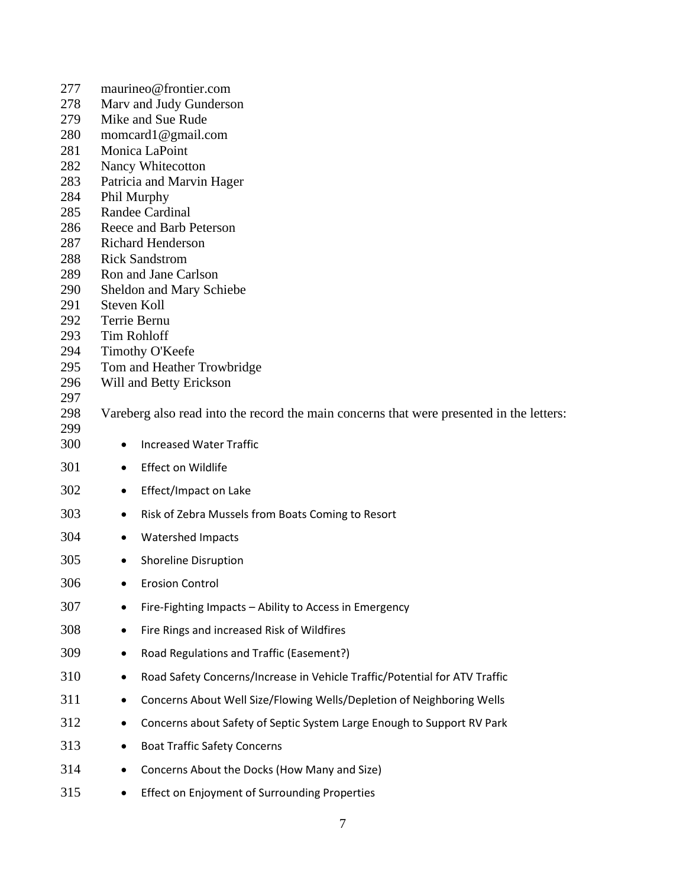| 277        | maurineo@frontier.com                                                                    |  |  |  |  |  |  |
|------------|------------------------------------------------------------------------------------------|--|--|--|--|--|--|
| 278        | Marv and Judy Gunderson                                                                  |  |  |  |  |  |  |
| 279        | Mike and Sue Rude                                                                        |  |  |  |  |  |  |
| 280        | momcard1@gmail.com                                                                       |  |  |  |  |  |  |
| 281        | Monica LaPoint                                                                           |  |  |  |  |  |  |
| 282        | Nancy Whitecotton                                                                        |  |  |  |  |  |  |
| 283        | Patricia and Marvin Hager                                                                |  |  |  |  |  |  |
| 284        | Phil Murphy                                                                              |  |  |  |  |  |  |
| 285        | Randee Cardinal                                                                          |  |  |  |  |  |  |
| 286<br>287 | Reece and Barb Peterson<br><b>Richard Henderson</b>                                      |  |  |  |  |  |  |
| 288        | <b>Rick Sandstrom</b>                                                                    |  |  |  |  |  |  |
| 289        | Ron and Jane Carlson                                                                     |  |  |  |  |  |  |
| 290        | <b>Sheldon and Mary Schiebe</b>                                                          |  |  |  |  |  |  |
| 291        | Steven Koll                                                                              |  |  |  |  |  |  |
| 292        | Terrie Bernu                                                                             |  |  |  |  |  |  |
| 293        | <b>Tim Rohloff</b>                                                                       |  |  |  |  |  |  |
| 294        | Timothy O'Keefe                                                                          |  |  |  |  |  |  |
| 295        | Tom and Heather Trowbridge                                                               |  |  |  |  |  |  |
| 296        | Will and Betty Erickson                                                                  |  |  |  |  |  |  |
| 297        |                                                                                          |  |  |  |  |  |  |
| 298<br>299 | Vareberg also read into the record the main concerns that were presented in the letters: |  |  |  |  |  |  |
| 300        | <b>Increased Water Traffic</b><br>$\bullet$                                              |  |  |  |  |  |  |
| 301        | <b>Effect on Wildlife</b><br>$\bullet$                                                   |  |  |  |  |  |  |
| 302        | Effect/Impact on Lake<br>$\bullet$                                                       |  |  |  |  |  |  |
| 303        | Risk of Zebra Mussels from Boats Coming to Resort<br>٠                                   |  |  |  |  |  |  |
| 304        |                                                                                          |  |  |  |  |  |  |
| 305        | Watershed Impacts<br>٠                                                                   |  |  |  |  |  |  |
| 306        | <b>Shoreline Disruption</b><br>$\bullet$                                                 |  |  |  |  |  |  |
| 307        | <b>Erosion Control</b>                                                                   |  |  |  |  |  |  |
|            | Fire-Fighting Impacts - Ability to Access in Emergency                                   |  |  |  |  |  |  |
| 308        | Fire Rings and increased Risk of Wildfires<br>٠                                          |  |  |  |  |  |  |
| 309        | Road Regulations and Traffic (Easement?)                                                 |  |  |  |  |  |  |
| 310        | Road Safety Concerns/Increase in Vehicle Traffic/Potential for ATV Traffic<br>٠          |  |  |  |  |  |  |
| 311        | Concerns About Well Size/Flowing Wells/Depletion of Neighboring Wells<br>٠               |  |  |  |  |  |  |
| 312        | Concerns about Safety of Septic System Large Enough to Support RV Park                   |  |  |  |  |  |  |
| 313        | <b>Boat Traffic Safety Concerns</b>                                                      |  |  |  |  |  |  |
| 314        | Concerns About the Docks (How Many and Size)<br>٠                                        |  |  |  |  |  |  |
| 315        | Effect on Enjoyment of Surrounding Properties<br>٠                                       |  |  |  |  |  |  |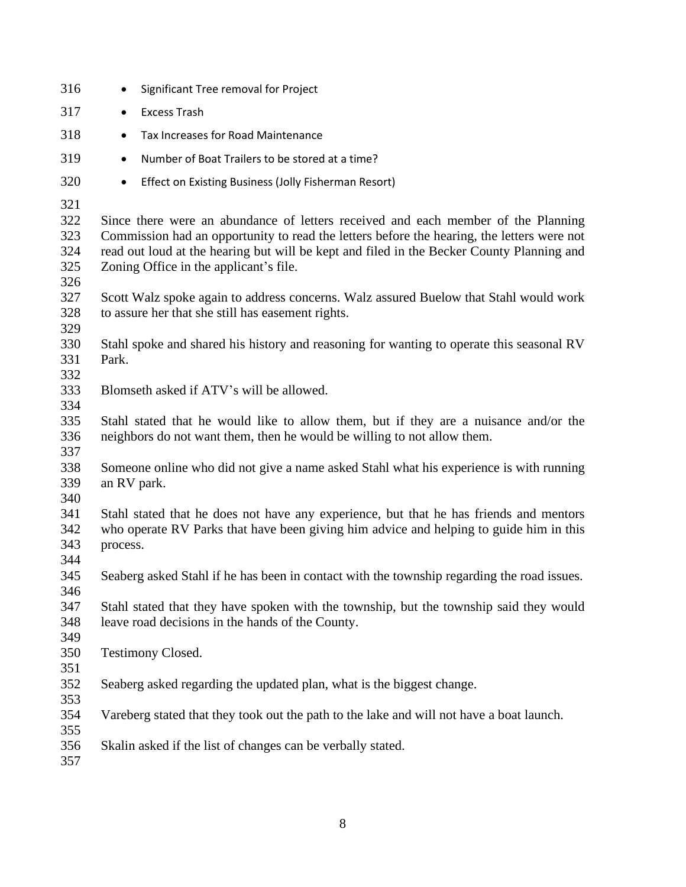| 316                                    | Significant Tree removal for Project<br>٠                                                                                                                                                                                                                                                                              |  |  |  |  |  |  |
|----------------------------------------|------------------------------------------------------------------------------------------------------------------------------------------------------------------------------------------------------------------------------------------------------------------------------------------------------------------------|--|--|--|--|--|--|
| 317                                    | <b>Excess Trash</b><br>$\bullet$                                                                                                                                                                                                                                                                                       |  |  |  |  |  |  |
| 318                                    | Tax Increases for Road Maintenance<br>$\bullet$                                                                                                                                                                                                                                                                        |  |  |  |  |  |  |
| 319                                    | Number of Boat Trailers to be stored at a time?<br>$\bullet$                                                                                                                                                                                                                                                           |  |  |  |  |  |  |
| 320                                    | Effect on Existing Business (Jolly Fisherman Resort)<br>$\bullet$                                                                                                                                                                                                                                                      |  |  |  |  |  |  |
| 321<br>322<br>323<br>324<br>325<br>326 | Since there were an abundance of letters received and each member of the Planning<br>Commission had an opportunity to read the letters before the hearing, the letters were not<br>read out loud at the hearing but will be kept and filed in the Becker County Planning and<br>Zoning Office in the applicant's file. |  |  |  |  |  |  |
| 327<br>328<br>329                      | Scott Walz spoke again to address concerns. Walz assured Buelow that Stahl would work<br>to assure her that she still has easement rights.                                                                                                                                                                             |  |  |  |  |  |  |
| 330<br>331<br>332                      | Stahl spoke and shared his history and reasoning for wanting to operate this seasonal RV<br>Park.                                                                                                                                                                                                                      |  |  |  |  |  |  |
| 333<br>334                             | Blomseth asked if ATV's will be allowed.                                                                                                                                                                                                                                                                               |  |  |  |  |  |  |
| 335<br>336<br>337                      | Stahl stated that he would like to allow them, but if they are a nuisance and/or the<br>neighbors do not want them, then he would be willing to not allow them.                                                                                                                                                        |  |  |  |  |  |  |
| 338<br>339<br>340                      | Someone online who did not give a name asked Stahl what his experience is with running<br>an RV park.                                                                                                                                                                                                                  |  |  |  |  |  |  |
| 341<br>342<br>343<br>344               | Stahl stated that he does not have any experience, but that he has friends and mentors<br>who operate RV Parks that have been giving him advice and helping to guide him in this<br>process.                                                                                                                           |  |  |  |  |  |  |
| 345<br>346                             | Seaberg asked Stahl if he has been in contact with the township regarding the road issues.                                                                                                                                                                                                                             |  |  |  |  |  |  |
| 347<br>348<br>349                      | Stahl stated that they have spoken with the township, but the township said they would<br>leave road decisions in the hands of the County.                                                                                                                                                                             |  |  |  |  |  |  |
| 350<br>351                             | Testimony Closed.                                                                                                                                                                                                                                                                                                      |  |  |  |  |  |  |
| 352<br>353                             | Seaberg asked regarding the updated plan, what is the biggest change.                                                                                                                                                                                                                                                  |  |  |  |  |  |  |
| 354<br>355                             | Vareberg stated that they took out the path to the lake and will not have a boat launch.                                                                                                                                                                                                                               |  |  |  |  |  |  |
| 356<br>357                             | Skalin asked if the list of changes can be verbally stated.                                                                                                                                                                                                                                                            |  |  |  |  |  |  |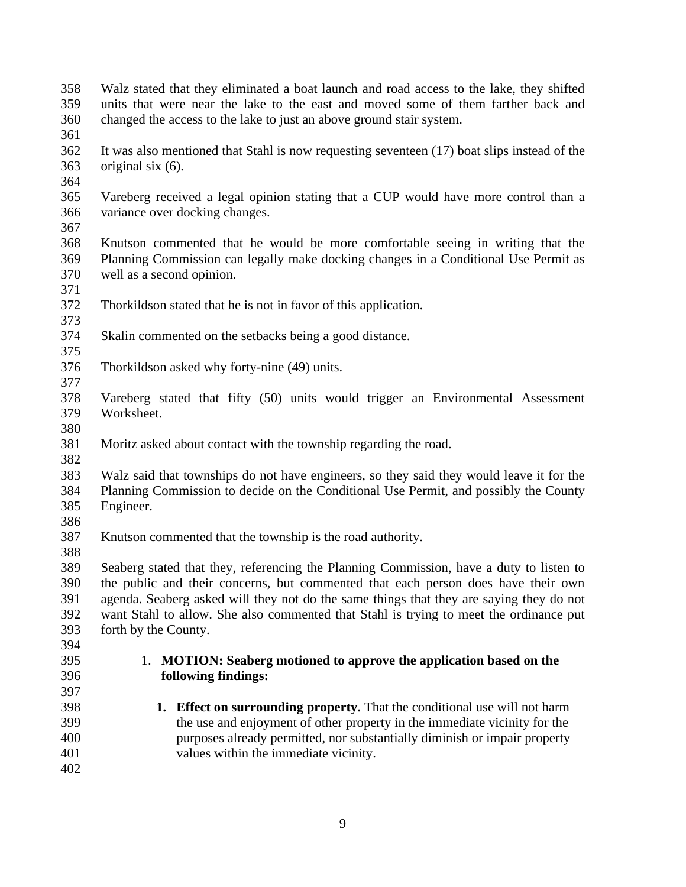- Walz stated that they eliminated a boat launch and road access to the lake, they shifted units that were near the lake to the east and moved some of them farther back and changed the access to the lake to just an above ground stair system.
- It was also mentioned that Stahl is now requesting seventeen (17) boat slips instead of the original six (6).
- 

- Vareberg received a legal opinion stating that a CUP would have more control than a variance over docking changes.
- 

- Knutson commented that he would be more comfortable seeing in writing that the Planning Commission can legally make docking changes in a Conditional Use Permit as well as a second opinion.
- Thorkildson stated that he is not in favor of this application.
- Skalin commented on the setbacks being a good distance.
- Thorkildson asked why forty-nine (49) units.
- Vareberg stated that fifty (50) units would trigger an Environmental Assessment Worksheet.
- 
- Moritz asked about contact with the township regarding the road.
- Walz said that townships do not have engineers, so they said they would leave it for the Planning Commission to decide on the Conditional Use Permit, and possibly the County Engineer.
- 
- Knutson commented that the township is the road authority.
- Seaberg stated that they, referencing the Planning Commission, have a duty to listen to the public and their concerns, but commented that each person does have their own agenda. Seaberg asked will they not do the same things that they are saying they do not want Stahl to allow. She also commented that Stahl is trying to meet the ordinance put forth by the County.
- 
- 

### 1. **MOTION: Seaberg motioned to approve the application based on the following findings:**

 **1. Effect on surrounding property.** That the conditional use will not harm the use and enjoyment of other property in the immediate vicinity for the purposes already permitted, nor substantially diminish or impair property values within the immediate vicinity.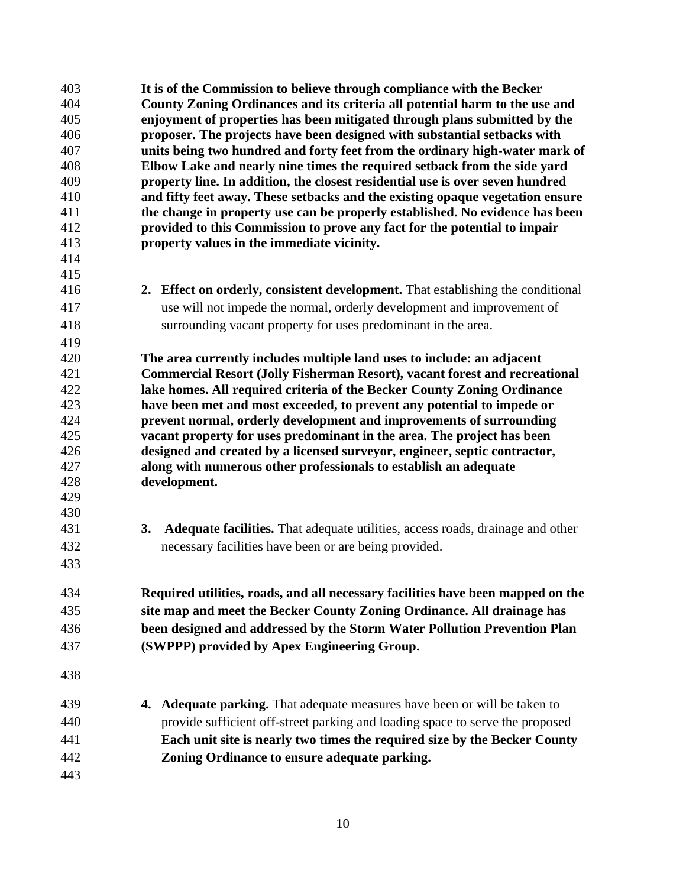| 403 | It is of the Commission to believe through compliance with the Becker                |
|-----|--------------------------------------------------------------------------------------|
| 404 | County Zoning Ordinances and its criteria all potential harm to the use and          |
| 405 | enjoyment of properties has been mitigated through plans submitted by the            |
| 406 | proposer. The projects have been designed with substantial setbacks with             |
| 407 | units being two hundred and forty feet from the ordinary high-water mark of          |
| 408 | Elbow Lake and nearly nine times the required setback from the side yard             |
| 409 | property line. In addition, the closest residential use is over seven hundred        |
| 410 | and fifty feet away. These setbacks and the existing opaque vegetation ensure        |
| 411 | the change in property use can be properly established. No evidence has been         |
| 412 | provided to this Commission to prove any fact for the potential to impair            |
| 413 | property values in the immediate vicinity.                                           |
| 414 |                                                                                      |
| 415 |                                                                                      |
| 416 | 2. Effect on orderly, consistent development. That establishing the conditional      |
| 417 | use will not impede the normal, orderly development and improvement of               |
| 418 | surrounding vacant property for uses predominant in the area.                        |
| 419 |                                                                                      |
| 420 | The area currently includes multiple land uses to include: an adjacent               |
| 421 | <b>Commercial Resort (Jolly Fisherman Resort), vacant forest and recreational</b>    |
| 422 | lake homes. All required criteria of the Becker County Zoning Ordinance              |
| 423 | have been met and most exceeded, to prevent any potential to impede or               |
| 424 | prevent normal, orderly development and improvements of surrounding                  |
| 425 | vacant property for uses predominant in the area. The project has been               |
| 426 | designed and created by a licensed surveyor, engineer, septic contractor,            |
| 427 | along with numerous other professionals to establish an adequate                     |
| 428 | development.                                                                         |
| 429 |                                                                                      |
| 430 |                                                                                      |
| 431 | Adequate facilities. That adequate utilities, access roads, drainage and other<br>3. |
| 432 | necessary facilities have been or are being provided.                                |
| 433 |                                                                                      |
|     |                                                                                      |
| 434 | Required utilities, roads, and all necessary facilities have been mapped on the      |
| 435 | site map and meet the Becker County Zoning Ordinance. All drainage has               |
| 436 | been designed and addressed by the Storm Water Pollution Prevention Plan             |
| 437 | (SWPPP) provided by Apex Engineering Group.                                          |
|     |                                                                                      |
| 438 |                                                                                      |
| 439 | Adequate parking. That adequate measures have been or will be taken to<br>4.         |
| 440 | provide sufficient off-street parking and loading space to serve the proposed        |
| 441 | Each unit site is nearly two times the required size by the Becker County            |
| 442 | Zoning Ordinance to ensure adequate parking.                                         |
| 443 |                                                                                      |
|     |                                                                                      |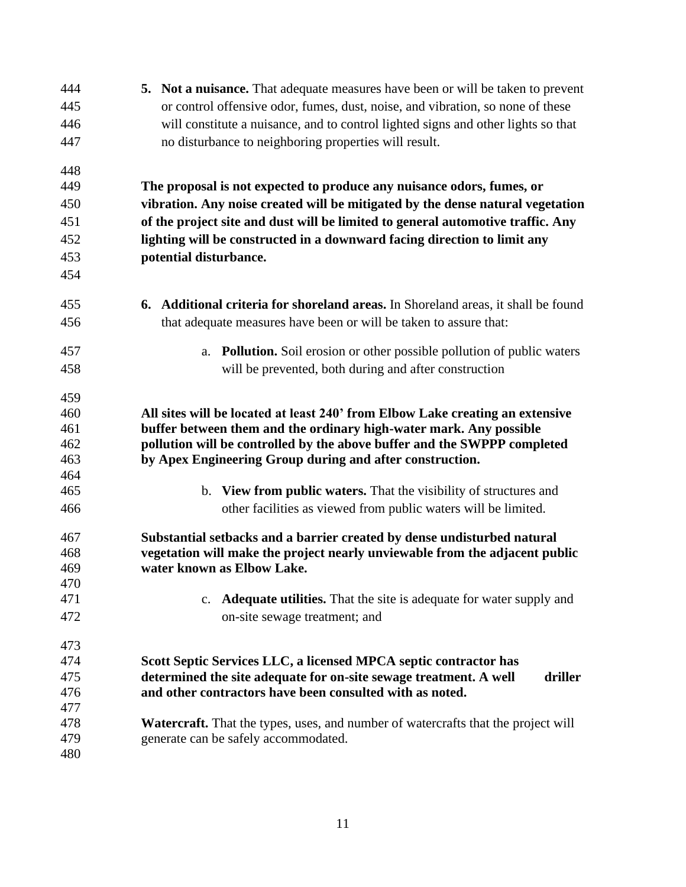| 444 | <b>5.</b> Not a nuisance. That adequate measures have been or will be taken to prevent   |  |  |  |  |
|-----|------------------------------------------------------------------------------------------|--|--|--|--|
| 445 | or control offensive odor, fumes, dust, noise, and vibration, so none of these           |  |  |  |  |
| 446 | will constitute a nuisance, and to control lighted signs and other lights so that        |  |  |  |  |
| 447 | no disturbance to neighboring properties will result.                                    |  |  |  |  |
|     |                                                                                          |  |  |  |  |
| 448 |                                                                                          |  |  |  |  |
| 449 | The proposal is not expected to produce any nuisance odors, fumes, or                    |  |  |  |  |
| 450 | vibration. Any noise created will be mitigated by the dense natural vegetation           |  |  |  |  |
| 451 | of the project site and dust will be limited to general automotive traffic. Any          |  |  |  |  |
| 452 | lighting will be constructed in a downward facing direction to limit any                 |  |  |  |  |
| 453 | potential disturbance.                                                                   |  |  |  |  |
| 454 |                                                                                          |  |  |  |  |
| 455 | <b>6.</b> Additional criteria for shoreland areas. In Shoreland areas, it shall be found |  |  |  |  |
| 456 | that adequate measures have been or will be taken to assure that:                        |  |  |  |  |
| 457 | a. Pollution. Soil erosion or other possible pollution of public waters                  |  |  |  |  |
| 458 | will be prevented, both during and after construction                                    |  |  |  |  |
|     |                                                                                          |  |  |  |  |
| 459 |                                                                                          |  |  |  |  |
| 460 | All sites will be located at least 240' from Elbow Lake creating an extensive            |  |  |  |  |
| 461 | buffer between them and the ordinary high-water mark. Any possible                       |  |  |  |  |
| 462 | pollution will be controlled by the above buffer and the SWPPP completed                 |  |  |  |  |
| 463 | by Apex Engineering Group during and after construction.                                 |  |  |  |  |
| 464 |                                                                                          |  |  |  |  |
| 465 | b. View from public waters. That the visibility of structures and                        |  |  |  |  |
| 466 | other facilities as viewed from public waters will be limited.                           |  |  |  |  |
| 467 | Substantial setbacks and a barrier created by dense undisturbed natural                  |  |  |  |  |
| 468 | vegetation will make the project nearly unviewable from the adjacent public              |  |  |  |  |
| 469 | water known as Elbow Lake.                                                               |  |  |  |  |
| 470 |                                                                                          |  |  |  |  |
| 471 | c. <b>Adequate utilities.</b> That the site is adequate for water supply and             |  |  |  |  |
| 472 | on-site sewage treatment; and                                                            |  |  |  |  |
| 473 |                                                                                          |  |  |  |  |
| 474 | Scott Septic Services LLC, a licensed MPCA septic contractor has                         |  |  |  |  |
| 475 | determined the site adequate for on-site sewage treatment. A well<br>driller             |  |  |  |  |
| 476 | and other contractors have been consulted with as noted.                                 |  |  |  |  |
| 477 |                                                                                          |  |  |  |  |
| 478 | <b>Watercraft.</b> That the types, uses, and number of watercrafts that the project will |  |  |  |  |
| 479 | generate can be safely accommodated.                                                     |  |  |  |  |
| 480 |                                                                                          |  |  |  |  |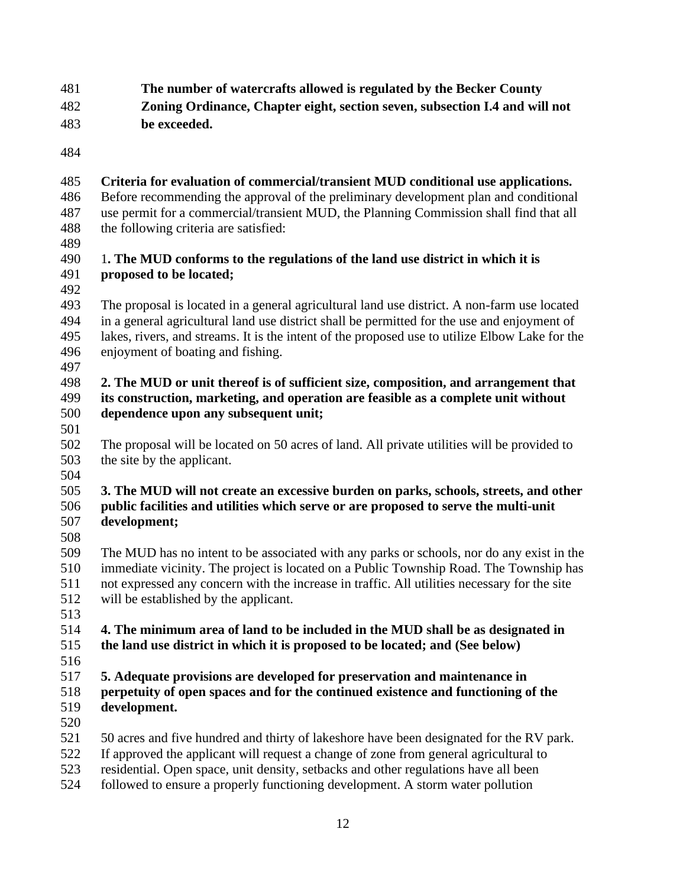## **The number of watercrafts allowed is regulated by the Becker County Zoning Ordinance, Chapter eight, section seven, subsection I.4 and will not be exceeded.**

## **Criteria for evaluation of commercial/transient MUD conditional use applications.**

 Before recommending the approval of the preliminary development plan and conditional use permit for a commercial/transient MUD, the Planning Commission shall find that all the following criteria are satisfied:

### 1**. The MUD conforms to the regulations of the land use district in which it is proposed to be located;**

 The proposal is located in a general agricultural land use district. A non-farm use located in a general agricultural land use district shall be permitted for the use and enjoyment of lakes, rivers, and streams. It is the intent of the proposed use to utilize Elbow Lake for the enjoyment of boating and fishing.

## 

### **2. The MUD or unit thereof is of sufficient size, composition, and arrangement that its construction, marketing, and operation are feasible as a complete unit without dependence upon any subsequent unit;**

 The proposal will be located on 50 acres of land. All private utilities will be provided to the site by the applicant.

# 

## **3. The MUD will not create an excessive burden on parks, schools, streets, and other public facilities and utilities which serve or are proposed to serve the multi-unit development;**

 The MUD has no intent to be associated with any parks or schools, nor do any exist in the immediate vicinity. The project is located on a Public Township Road. The Township has not expressed any concern with the increase in traffic. All utilities necessary for the site will be established by the applicant.

## **4. The minimum area of land to be included in the MUD shall be as designated in the land use district in which it is proposed to be located; and (See below)**

 **5. Adequate provisions are developed for preservation and maintenance in perpetuity of open spaces and for the continued existence and functioning of the development.**

50 acres and five hundred and thirty of lakeshore have been designated for the RV park.

- If approved the applicant will request a change of zone from general agricultural to
- residential. Open space, unit density, setbacks and other regulations have all been
- followed to ensure a properly functioning development. A storm water pollution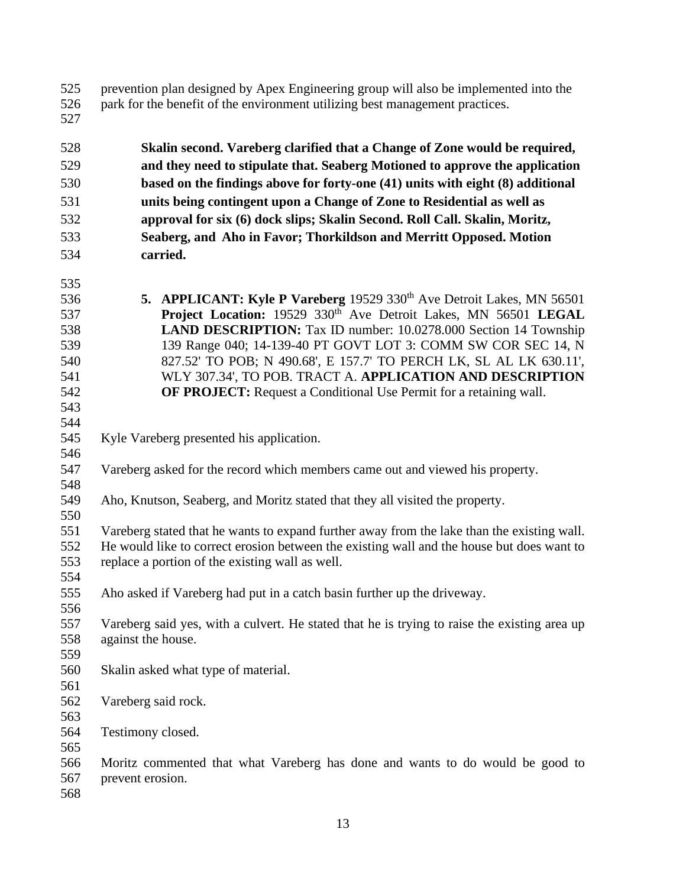| 525 |  |  |  |  |  |  |  | prevention plan designed by Apex Engineering group will also be implemented into the |  |
|-----|--|--|--|--|--|--|--|--------------------------------------------------------------------------------------|--|
|-----|--|--|--|--|--|--|--|--------------------------------------------------------------------------------------|--|

- park for the benefit of the environment utilizing best management practices.  $\frac{526}{527}$
- 

| 528        | Skalin second. Vareberg clarified that a Change of Zone would be required,                                                                   |  |  |  |  |  |
|------------|----------------------------------------------------------------------------------------------------------------------------------------------|--|--|--|--|--|
| 529        | and they need to stipulate that. Seaberg Motioned to approve the application                                                                 |  |  |  |  |  |
| 530        | based on the findings above for forty-one (41) units with eight (8) additional                                                               |  |  |  |  |  |
| 531        | units being contingent upon a Change of Zone to Residential as well as                                                                       |  |  |  |  |  |
| 532        | approval for six (6) dock slips; Skalin Second. Roll Call. Skalin, Moritz,                                                                   |  |  |  |  |  |
| 533        | Seaberg, and Aho in Favor; Thorkildson and Merritt Opposed. Motion                                                                           |  |  |  |  |  |
| 534        | carried.                                                                                                                                     |  |  |  |  |  |
|            |                                                                                                                                              |  |  |  |  |  |
| 535        |                                                                                                                                              |  |  |  |  |  |
| 536        | 5. APPLICANT: Kyle P Vareberg 19529 330 <sup>th</sup> Ave Detroit Lakes, MN 56501                                                            |  |  |  |  |  |
| 537        | Project Location: 19529 330 <sup>th</sup> Ave Detroit Lakes, MN 56501 LEGAL                                                                  |  |  |  |  |  |
| 538        | LAND DESCRIPTION: Tax ID number: 10.0278.000 Section 14 Township                                                                             |  |  |  |  |  |
| 539        | 139 Range 040; 14-139-40 PT GOVT LOT 3: COMM SW COR SEC 14, N                                                                                |  |  |  |  |  |
| 540        | 827.52' TO POB; N 490.68', E 157.7' TO PERCH LK, SL AL LK 630.11',                                                                           |  |  |  |  |  |
| 541        | WLY 307.34', TO POB. TRACT A. APPLICATION AND DESCRIPTION                                                                                    |  |  |  |  |  |
| 542        | <b>OF PROJECT:</b> Request a Conditional Use Permit for a retaining wall.                                                                    |  |  |  |  |  |
| 543        |                                                                                                                                              |  |  |  |  |  |
| 544        |                                                                                                                                              |  |  |  |  |  |
| 545        | Kyle Vareberg presented his application.                                                                                                     |  |  |  |  |  |
| 546        |                                                                                                                                              |  |  |  |  |  |
| 547        | Vareberg asked for the record which members came out and viewed his property.                                                                |  |  |  |  |  |
| 548        |                                                                                                                                              |  |  |  |  |  |
| 549        | Aho, Knutson, Seaberg, and Moritz stated that they all visited the property.                                                                 |  |  |  |  |  |
| 550<br>551 |                                                                                                                                              |  |  |  |  |  |
| 552        | Vareberg stated that he wants to expand further away from the lake than the existing wall.                                                   |  |  |  |  |  |
| 553        | He would like to correct erosion between the existing wall and the house but does want to<br>replace a portion of the existing wall as well. |  |  |  |  |  |
| 554        |                                                                                                                                              |  |  |  |  |  |
| 555        | Aho asked if Vareberg had put in a catch basin further up the driveway.                                                                      |  |  |  |  |  |
| 556        |                                                                                                                                              |  |  |  |  |  |
| 557        | Vareberg said yes, with a culvert. He stated that he is trying to raise the existing area up                                                 |  |  |  |  |  |
| 558        | against the house.                                                                                                                           |  |  |  |  |  |
| 559        |                                                                                                                                              |  |  |  |  |  |
| 560        | Skalin asked what type of material.                                                                                                          |  |  |  |  |  |
| 561        |                                                                                                                                              |  |  |  |  |  |
| 562        | Vareberg said rock.                                                                                                                          |  |  |  |  |  |
| 563        |                                                                                                                                              |  |  |  |  |  |
| 564        | Testimony closed.                                                                                                                            |  |  |  |  |  |
| 565        |                                                                                                                                              |  |  |  |  |  |
| 566        | Moritz commented that what Vareberg has done and wants to do would be good to                                                                |  |  |  |  |  |
| 567        | prevent erosion.                                                                                                                             |  |  |  |  |  |
| 568        |                                                                                                                                              |  |  |  |  |  |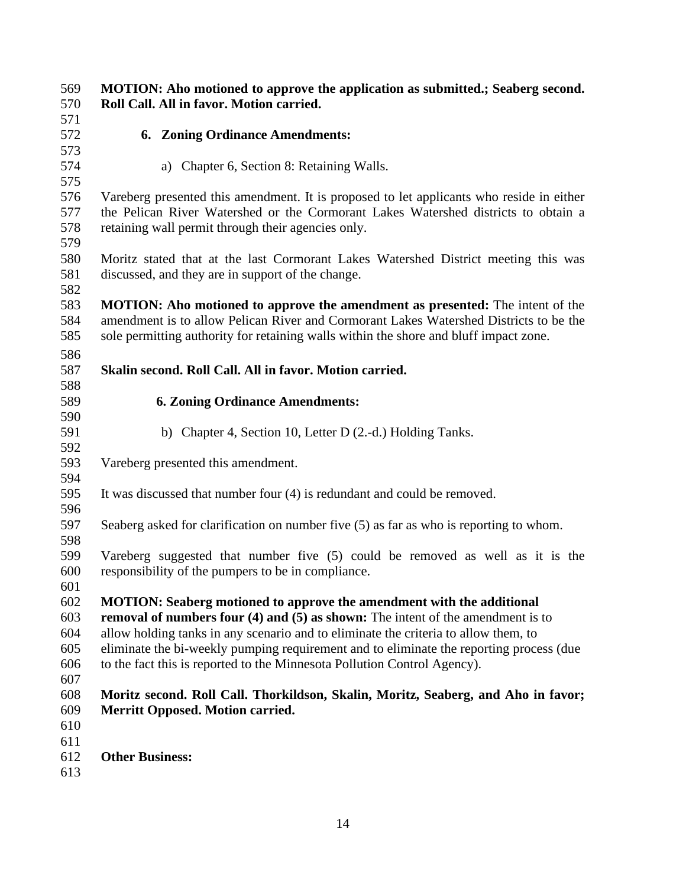| 569        | MOTION: Aho motioned to approve the application as submitted.; Seaberg second.                                                          |  |  |  |  |  |
|------------|-----------------------------------------------------------------------------------------------------------------------------------------|--|--|--|--|--|
| 570        | Roll Call. All in favor. Motion carried.                                                                                                |  |  |  |  |  |
| 571        |                                                                                                                                         |  |  |  |  |  |
| 572        | <b>6. Zoning Ordinance Amendments:</b>                                                                                                  |  |  |  |  |  |
| 573        |                                                                                                                                         |  |  |  |  |  |
| 574        | a) Chapter 6, Section 8: Retaining Walls.                                                                                               |  |  |  |  |  |
| 575        | Vareberg presented this amendment. It is proposed to let applicants who reside in either                                                |  |  |  |  |  |
| 576<br>577 | the Pelican River Watershed or the Cormorant Lakes Watershed districts to obtain a                                                      |  |  |  |  |  |
| 578        | retaining wall permit through their agencies only.                                                                                      |  |  |  |  |  |
| 579        |                                                                                                                                         |  |  |  |  |  |
| 580<br>581 | Moritz stated that at the last Cormorant Lakes Watershed District meeting this was<br>discussed, and they are in support of the change. |  |  |  |  |  |
| 582        |                                                                                                                                         |  |  |  |  |  |
| 583        | <b>MOTION:</b> Aho motioned to approve the amendment as presented: The intent of the                                                    |  |  |  |  |  |
| 584        | amendment is to allow Pelican River and Cormorant Lakes Watershed Districts to be the                                                   |  |  |  |  |  |
| 585        | sole permitting authority for retaining walls within the shore and bluff impact zone.                                                   |  |  |  |  |  |
| 586        |                                                                                                                                         |  |  |  |  |  |
| 587        | Skalin second. Roll Call. All in favor. Motion carried.                                                                                 |  |  |  |  |  |
| 588        |                                                                                                                                         |  |  |  |  |  |
| 589        | <b>6. Zoning Ordinance Amendments:</b>                                                                                                  |  |  |  |  |  |
| 590        |                                                                                                                                         |  |  |  |  |  |
| 591        | b) Chapter 4, Section 10, Letter D (2.-d.) Holding Tanks.                                                                               |  |  |  |  |  |
| 592        |                                                                                                                                         |  |  |  |  |  |
| 593        | Vareberg presented this amendment.                                                                                                      |  |  |  |  |  |
| 594        |                                                                                                                                         |  |  |  |  |  |
| 595        | It was discussed that number four (4) is redundant and could be removed.                                                                |  |  |  |  |  |
| 596        |                                                                                                                                         |  |  |  |  |  |
| 597        | Seaberg asked for clarification on number five (5) as far as who is reporting to whom.                                                  |  |  |  |  |  |
| 598        |                                                                                                                                         |  |  |  |  |  |
| 599        | Vareberg suggested that number five (5) could be removed as well as it is the                                                           |  |  |  |  |  |
| 600        | responsibility of the pumpers to be in compliance.                                                                                      |  |  |  |  |  |
| 601        |                                                                                                                                         |  |  |  |  |  |
| 602        | <b>MOTION: Seaberg motioned to approve the amendment with the additional</b>                                                            |  |  |  |  |  |
| 603        | removal of numbers four $(4)$ and $(5)$ as shown: The intent of the amendment is to                                                     |  |  |  |  |  |
| 604        | allow holding tanks in any scenario and to eliminate the criteria to allow them, to                                                     |  |  |  |  |  |
| 605        | eliminate the bi-weekly pumping requirement and to eliminate the reporting process (due                                                 |  |  |  |  |  |
| 606        | to the fact this is reported to the Minnesota Pollution Control Agency).                                                                |  |  |  |  |  |
| 607        |                                                                                                                                         |  |  |  |  |  |
| 608        | Moritz second. Roll Call. Thorkildson, Skalin, Moritz, Seaberg, and Aho in favor;                                                       |  |  |  |  |  |
| 609        | <b>Merritt Opposed. Motion carried.</b>                                                                                                 |  |  |  |  |  |
| 610        |                                                                                                                                         |  |  |  |  |  |
| 611        |                                                                                                                                         |  |  |  |  |  |
| 612        | <b>Other Business:</b>                                                                                                                  |  |  |  |  |  |
| 613        |                                                                                                                                         |  |  |  |  |  |